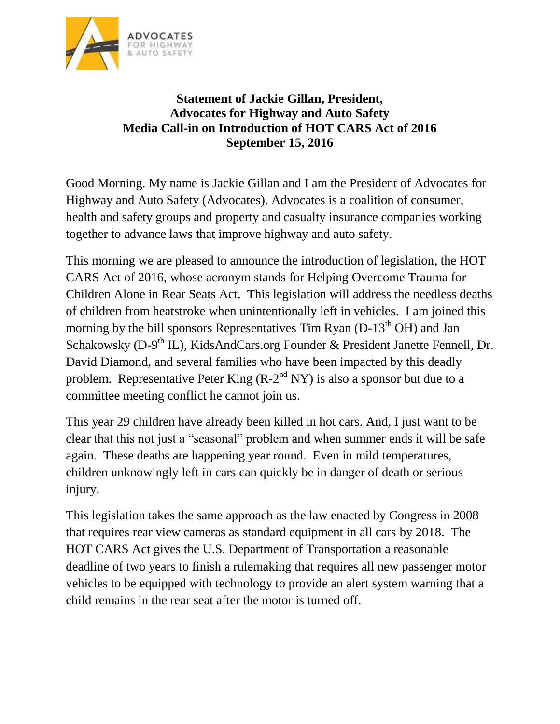

## **Statement of Jackie Gillan, President, Advocates for Highway and Auto Safety Media Call-in on Introduction of HOT CARS Act of 2016 September 15, 2016**

Good Morning. My name is Jackie Gillan and I am the President of Advocates for Highway and Auto Safety (Advocates). Advocates is a coalition of consumer, health and safety groups and property and casualty insurance companies working together to advance laws that improve highway and auto safety.

This morning we are pleased to announce the introduction of legislation, the HOT CARS Act of 2016, whose acronym stands for Helping Overcome Trauma for Children Alone in Rear Seats Act. This legislation will address the needless deaths of children from heatstroke when unintentionally left in vehicles. I am joined this morning by the bill sponsors Representatives Tim Ryan (D-13<sup>th</sup> OH) and Jan Schakowsky (D-9<sup>th</sup> IL), KidsAndCars.org Founder & President Janette Fennell, Dr. David Diamond, and several families who have been impacted by this deadly problem. Representative Peter King  $(R{\text{-}}2^{\text{nd}}\text{NY})$  is also a sponsor but due to a committee meeting conflict he cannot join us.

This year 29 children have already been killed in hot cars. And, I just want to be clear that this not just a "seasonal" problem and when summer ends it will be safe again. These deaths are happening year round. Even in mild temperatures, children unknowingly left in cars can quickly be in danger of death or serious injury.

This legislation takes the same approach as the law enacted by Congress in 2008 that requires rear view cameras as standard equipment in all cars by 2018. The HOT CARS Act gives the U.S. Department of Transportation a reasonable deadline of two years to finish a rulemaking that requires all new passenger motor vehicles to be equipped with technology to provide an alert system warning that a child remains in the rear seat after the motor is turned off.